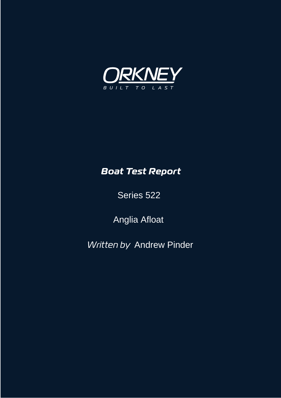

### *Boat Test Report*

Series 522

Anglia Afloat

*Written by* Andrew Pinder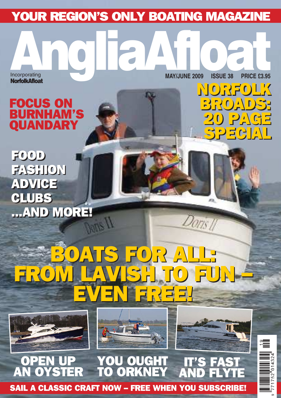### YOUR REGION'S ONLY BOATING MAGAZINE

**NorfolkAfloat** 

Incorporating MAY/JUNE 2009 ISSUE 38 PRICE £3.95 **Incorporating MAY/JUNE 2009 ISSUE 38 PRICE £3.95** 

NORFOLK NORFOLK

BROADS: BROADS:

20 PAGE 20 PAGE

SPECIAL SPECIAL

### FOCUS ON<br>BURNHAM BURNHAM'S QUANDARY

FOOD FOOD FASHION FASHION ADVICE ADVICE CLUBS CLUBS ...AND MORE! ...AND MORE!

## BOATS FOR ALL: BOATS FOR ALL: FROM LAVISH TO FUN – FROM LAVISH TO FUN – EVEN FREE! EVEN FREE!







Dons

#### OPEN UP<br>N OYSTER AN OYSTER OU OUGHT<br>0 ORKNEY ORKNEY IT'S FAST<br>And flyt AND FLYTE



SAIL A CLASSIC CRAFT NOW – FREE WHEN YOU SUBSCRIBE!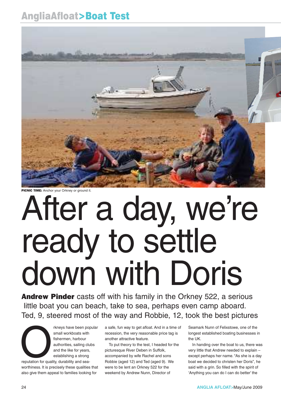### AngliaAfloat>Boat Test



**PICNIC TIME:** Anchor your Orkney or ground it.

# After a day, we're ready to settle down with Doris

**Andrew Pinder** casts off with his family in the Orkney 522, a serious little boat you can beach, take to sea, perhaps even camp aboard. Ted, 9, steered most of the way and Robbie, 12, took the best pictures

The propose of the popular small workboats with<br>fishermen, harbour<br>authorities, sailing clubs<br>and the like for years,<br>establishing a strong<br>reputation for quality, durability and seasmall workboats with fishermen, harbour authorities, sailing clubs and the like for years, establishing a strong

reputation for quality, durability and seaworthiness. It is precisely these qualities that also give them appeal to families looking for

a safe, fun way to get afloat. And in a time of recession, the very reasonable price tag is another attractive feature.

To put theory to the test, I headed for the picturesque River Deben in Suffolk, accompanied by wife Rachel and sons Robbie (aged 12) and Ted (aged 9). We were to be lent an Orkney 522 for the weekend by Andrew Nunn, Director of

Seamark Nunn of Felixstowe, one of the longest established boating businesses in the UK.

In handing over the boat to us, there was very little that Andrew needed to explain – except perhaps her name. "As she is a day boat we decided to christen her Doris", he said with a grin. So filled with the spirit of 'Anything you can do I can do better' the